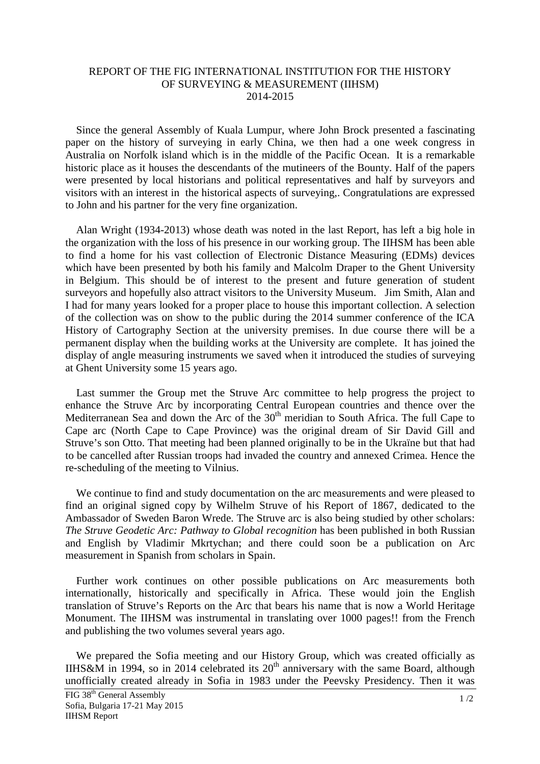## REPORT OF THE FIG INTERNATIONAL INSTITUTION FOR THE HISTORY OF SURVEYING & MEASUREMENT (IIHSM) 2014-2015

 Since the general Assembly of Kuala Lumpur, where John Brock presented a fascinating paper on the history of surveying in early China, we then had a one week congress in Australia on Norfolk island which is in the middle of the Pacific Ocean. It is a remarkable historic place as it houses the descendants of the mutineers of the Bounty. Half of the papers were presented by local historians and political representatives and half by surveyors and visitors with an interest in the historical aspects of surveying,. Congratulations are expressed to John and his partner for the very fine organization.

 Alan Wright (1934-2013) whose death was noted in the last Report, has left a big hole in the organization with the loss of his presence in our working group. The IIHSM has been able to find a home for his vast collection of Electronic Distance Measuring (EDMs) devices which have been presented by both his family and Malcolm Draper to the Ghent University in Belgium. This should be of interest to the present and future generation of student surveyors and hopefully also attract visitors to the University Museum. Jim Smith, Alan and I had for many years looked for a proper place to house this important collection. A selection of the collection was on show to the public during the 2014 summer conference of the ICA History of Cartography Section at the university premises. In due course there will be a permanent display when the building works at the University are complete. It has joined the display of angle measuring instruments we saved when it introduced the studies of surveying at Ghent University some 15 years ago.

 Last summer the Group met the Struve Arc committee to help progress the project to enhance the Struve Arc by incorporating Central European countries and thence over the Mediterranean Sea and down the Arc of the  $30<sup>th</sup>$  meridian to South Africa. The full Cape to Cape arc (North Cape to Cape Province) was the original dream of Sir David Gill and Struve's son Otto. That meeting had been planned originally to be in the Ukraïne but that had to be cancelled after Russian troops had invaded the country and annexed Crimea. Hence the re-scheduling of the meeting to Vilnius.

 We continue to find and study documentation on the arc measurements and were pleased to find an original signed copy by Wilhelm Struve of his Report of 1867, dedicated to the Ambassador of Sweden Baron Wrede. The Struve arc is also being studied by other scholars: *The Struve Geodetic Arc: Pathway to Global recognition* has been published in both Russian and English by Vladimir Mkrtychan; and there could soon be a publication on Arc measurement in Spanish from scholars in Spain.

 Further work continues on other possible publications on Arc measurements both internationally, historically and specifically in Africa. These would join the English translation of Struve's Reports on the Arc that bears his name that is now a World Heritage Monument. The IIHSM was instrumental in translating over 1000 pages!! from the French and publishing the two volumes several years ago.

 We prepared the Sofia meeting and our History Group, which was created officially as IIHS&M in 1994, so in 2014 celebrated its  $20<sup>th</sup>$  anniversary with the same Board, although unofficially created already in Sofia in 1983 under the Peevsky Presidency. Then it was